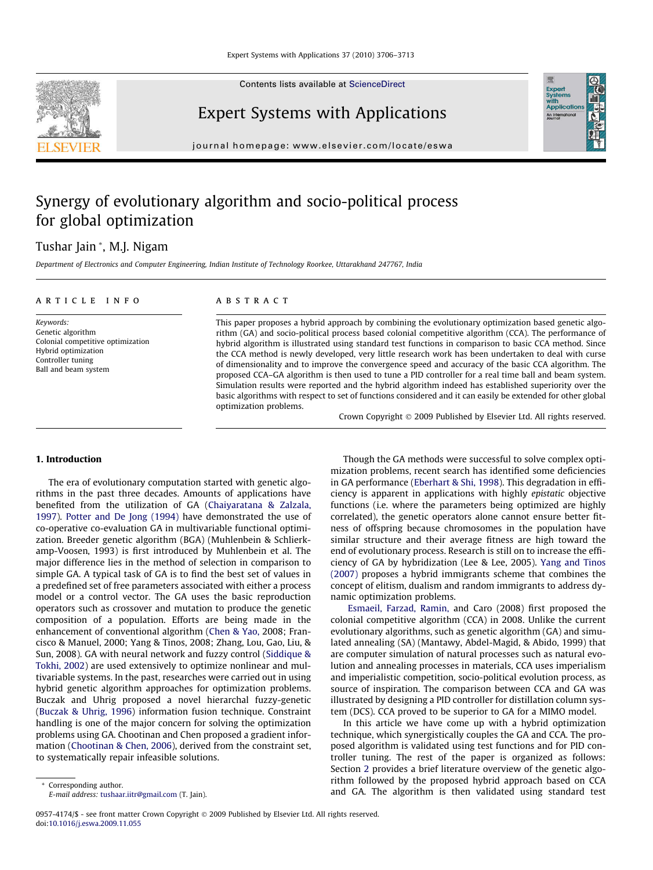Contents lists available at [ScienceDirect](http://www.sciencedirect.com/science/journal/09574174)

Expert Systems with Applications

journal homepage: [www.elsevier.com/locate/eswa](http://www.elsevier.com/locate/eswa)

## Synergy of evolutionary algorithm and socio-political process for global optimization

### Tushar Jain \*, M.J. Nigam

Department of Electronics and Computer Engineering, Indian Institute of Technology Roorkee, Uttarakhand 247767, India

#### article info

Keywords: Genetic algorithm Colonial competitive optimization Hybrid optimization Controller tuning Ball and beam system

#### ABSTRACT

This paper proposes a hybrid approach by combining the evolutionary optimization based genetic algorithm (GA) and socio-political process based colonial competitive algorithm (CCA). The performance of hybrid algorithm is illustrated using standard test functions in comparison to basic CCA method. Since the CCA method is newly developed, very little research work has been undertaken to deal with curse of dimensionality and to improve the convergence speed and accuracy of the basic CCA algorithm. The proposed CCA–GA algorithm is then used to tune a PID controller for a real time ball and beam system. Simulation results were reported and the hybrid algorithm indeed has established superiority over the basic algorithms with respect to set of functions considered and it can easily be extended for other global optimization problems.

Crown Copyright © 2009 Published by Elsevier Ltd. All rights reserved.

#### 1. Introduction

The era of evolutionary computation started with genetic algorithms in the past three decades. Amounts of applications have benefited from the utilization of GA [\(Chaiyaratana & Zalzala,](#page--1-0) [1997\)](#page--1-0). [Potter and De Jong \(1994\)](#page--1-0) have demonstrated the use of co-operative co-evaluation GA in multivariable functional optimization. Breeder genetic algorithm (BGA) (Muhlenbein & Schlierkamp-Voosen, 1993) is first introduced by Muhlenbein et al. The major difference lies in the method of selection in comparison to simple GA. A typical task of GA is to find the best set of values in a predefined set of free parameters associated with either a process model or a control vector. The GA uses the basic reproduction operators such as crossover and mutation to produce the genetic composition of a population. Efforts are being made in the enhancement of conventional algorithm ([Chen & Yao,](#page--1-0) 2008; Francisco & Manuel, 2000; Yang & Tinos, 2008; Zhang, Lou, Gao, Liu, & Sun, 2008). GA with neural network and fuzzy control ([Siddique &](#page--1-0) [Tokhi, 2002](#page--1-0)) are used extensively to optimize nonlinear and multivariable systems. In the past, researches were carried out in using hybrid genetic algorithm approaches for optimization problems. Buczak and Uhrig proposed a novel hierarchal fuzzy-genetic ([Buczak & Uhrig, 1996](#page--1-0)) information fusion technique. Constraint handling is one of the major concern for solving the optimization problems using GA. Chootinan and Chen proposed a gradient information [\(Chootinan & Chen, 2006\)](#page--1-0), derived from the constraint set, to systematically repair infeasible solutions.

0957-4174/\$ - see front matter Crown Copyright © 2009 Published by Elsevier Ltd. All rights reserved. doi:[10.1016/j.eswa.2009.11.055](http://dx.doi.org/10.1016/j.eswa.2009.11.055)

Though the GA methods were successful to solve complex optimization problems, recent search has identified some deficiencies in GA performance ([Eberhart & Shi, 1998](#page--1-0)). This degradation in efficiency is apparent in applications with highly epistatic objective functions (i.e. where the parameters being optimized are highly correlated), the genetic operators alone cannot ensure better fitness of offspring because chromosomes in the population have similar structure and their average fitness are high toward the end of evolutionary process. Research is still on to increase the efficiency of GA by hybridization (Lee & Lee, 2005). [Yang and Tinos](#page--1-0) [\(2007\)](#page--1-0) proposes a hybrid immigrants scheme that combines the concept of elitism, dualism and random immigrants to address dynamic optimization problems.

[Esmaeil, Farzad, Ramin,](#page--1-0) and Caro (2008) first proposed the colonial competitive algorithm (CCA) in 2008. Unlike the current evolutionary algorithms, such as genetic algorithm (GA) and simulated annealing (SA) (Mantawy, Abdel-Magid, & Abido, 1999) that are computer simulation of natural processes such as natural evolution and annealing processes in materials, CCA uses imperialism and imperialistic competition, socio-political evolution process, as source of inspiration. The comparison between CCA and GA was illustrated by designing a PID controller for distillation column system (DCS). CCA proved to be superior to GA for a MIMO model.

In this article we have come up with a hybrid optimization technique, which synergistically couples the GA and CCA. The proposed algorithm is validated using test functions and for PID controller tuning. The rest of the paper is organized as follows: Section [2](#page-1-0) provides a brief literature overview of the genetic algorithm followed by the proposed hybrid approach based on CCA and GA. The algorithm is then validated using standard test



<sup>\*</sup> Corresponding author. E-mail address: [tushaar.iitr@gmail.com](mailto:tushaar.iitr@gmail.com) (T. Jain).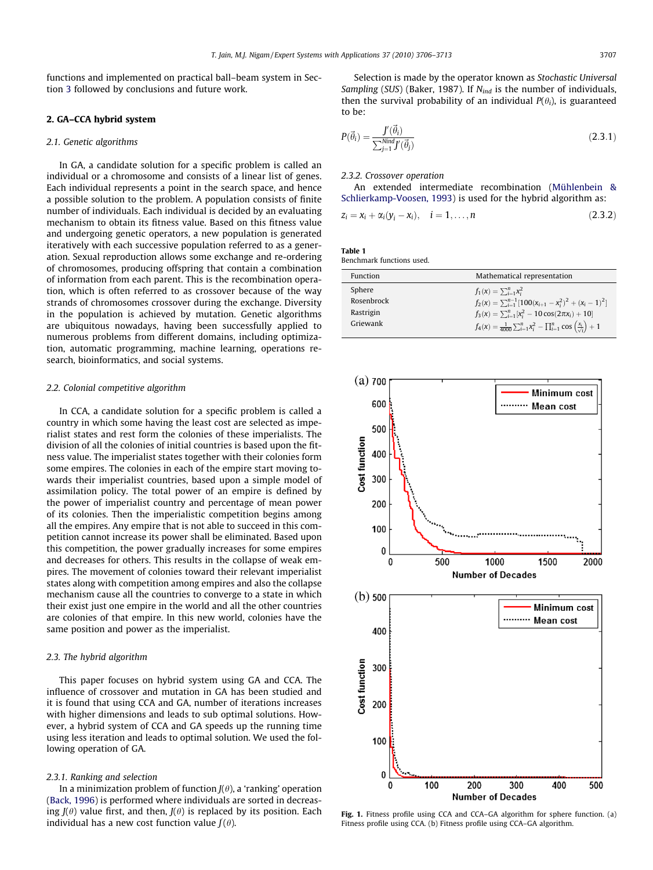<span id="page-1-0"></span>functions and implemented on practical ball–beam system in Section [3](#page--1-0) followed by conclusions and future work.

#### 2. GA–CCA hybrid system

#### 2.1. Genetic algorithms

In GA, a candidate solution for a specific problem is called an individual or a chromosome and consists of a linear list of genes. Each individual represents a point in the search space, and hence a possible solution to the problem. A population consists of finite number of individuals. Each individual is decided by an evaluating mechanism to obtain its fitness value. Based on this fitness value and undergoing genetic operators, a new population is generated iteratively with each successive population referred to as a generation. Sexual reproduction allows some exchange and re-ordering of chromosomes, producing offspring that contain a combination of information from each parent. This is the recombination operation, which is often referred to as crossover because of the way strands of chromosomes crossover during the exchange. Diversity in the population is achieved by mutation. Genetic algorithms are ubiquitous nowadays, having been successfully applied to numerous problems from different domains, including optimization, automatic programming, machine learning, operations research, bioinformatics, and social systems.

#### 2.2. Colonial competitive algorithm

In CCA, a candidate solution for a specific problem is called a country in which some having the least cost are selected as imperialist states and rest form the colonies of these imperialists. The division of all the colonies of initial countries is based upon the fitness value. The imperialist states together with their colonies form some empires. The colonies in each of the empire start moving towards their imperialist countries, based upon a simple model of assimilation policy. The total power of an empire is defined by the power of imperialist country and percentage of mean power of its colonies. Then the imperialistic competition begins among all the empires. Any empire that is not able to succeed in this competition cannot increase its power shall be eliminated. Based upon this competition, the power gradually increases for some empires and decreases for others. This results in the collapse of weak empires. The movement of colonies toward their relevant imperialist states along with competition among empires and also the collapse mechanism cause all the countries to converge to a state in which their exist just one empire in the world and all the other countries are colonies of that empire. In this new world, colonies have the same position and power as the imperialist.

#### 2.3. The hybrid algorithm

This paper focuses on hybrid system using GA and CCA. The influence of crossover and mutation in GA has been studied and it is found that using CCA and GA, number of iterations increases with higher dimensions and leads to sub optimal solutions. However, a hybrid system of CCA and GA speeds up the running time using less iteration and leads to optimal solution. We used the following operation of GA.

#### 2.3.1. Ranking and selection

In a minimization problem of function  $J(\theta)$ , a 'ranking' operation ([Back, 1996](#page--1-0)) is performed where individuals are sorted in decreasing  $J(\theta)$  value first, and then,  $J(\theta)$  is replaced by its position. Each individual has a new cost function value  $\vec{J}(\theta)$ .

Selection is made by the operator known as Stochastic Universal Sampling (SUS) (Baker, 1987). If  $N_{ind}$  is the number of individuals, then the survival probability of an individual  $P(\theta_i)$ , is guaranteed to be:

$$
P(\vec{\theta}_i) = \frac{J'(\vec{\theta}_i)}{\sum_{j=1}^{Nind} J'(\vec{\theta}_j)}
$$
(2.3.1)

#### 2.3.2. Crossover operation

An extended intermediate recombination (Mühlenbein & Schlierkamp-Voosen, 1993) is used for the hybrid algorithm as:

$$
z_i = x_i + \alpha_i (y_i - x_i), \quad i = 1, \dots, n
$$
\n
$$
(2.3.2)
$$

| Table 1                   |  |
|---------------------------|--|
| Benchmark functions used. |  |

| Function   | Mathematical representation                                                                                |
|------------|------------------------------------------------------------------------------------------------------------|
| Sphere     | $f_1(x) = \sum_{i=1}^n x_i^2$                                                                              |
| Rosenbrock | $f_2(x) = \sum_{i=1}^{n-1} [100(x_{i+1} - x_i^2)^2 + (x_i - 1)^2]$                                         |
| Rastrigin  | $f_3(x) = \sum_{i=1}^n [x_i^2 - 10 \cos(2\pi x_i) + 10]$                                                   |
| Griewank   | $f_4(x) = \frac{1}{4000} \sum_{i=1}^{n} x_i^2 - \prod_{i=1}^{n} \cos\left(\frac{x_i}{\sqrt{i}}\right) + 1$ |



Fig. 1. Fitness profile using CCA and CCA–GA algorithm for sphere function. (a) Fitness profile using CCA. (b) Fitness profile using CCA–GA algorithm.